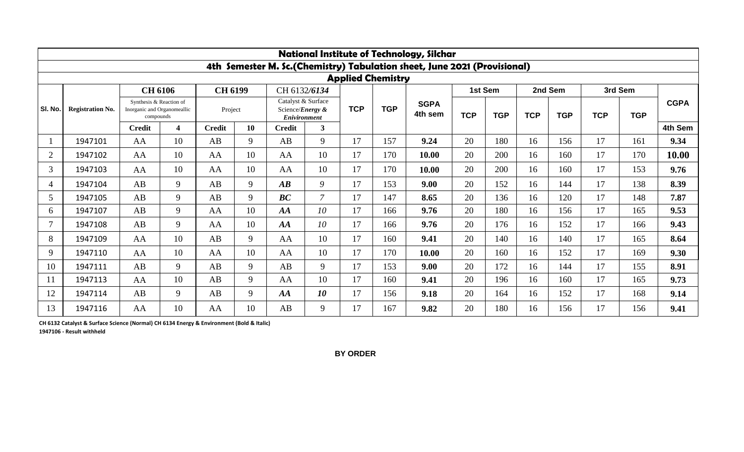| <b>National Institute of Technology, Silchar</b> |                         |                                                                                       |                         |                           |    |                                                                               |                         |            |            |                                                                          |            |            |            |            |            |            |             |
|--------------------------------------------------|-------------------------|---------------------------------------------------------------------------------------|-------------------------|---------------------------|----|-------------------------------------------------------------------------------|-------------------------|------------|------------|--------------------------------------------------------------------------|------------|------------|------------|------------|------------|------------|-------------|
|                                                  |                         |                                                                                       |                         |                           |    |                                                                               |                         |            |            | 4th Semester M. Sc.(Chemistry) Tabulation sheet, June 2021 (Provisional) |            |            |            |            |            |            |             |
| <b>Applied Chemistry</b>                         |                         |                                                                                       |                         |                           |    |                                                                               |                         |            |            |                                                                          |            |            |            |            |            |            |             |
| SI. No.                                          | <b>Registration No.</b> | <b>CH 6106</b><br>Synthesis & Reaction of<br>Inorganic and Organomeallic<br>compounds |                         | <b>CH 6199</b><br>Project |    | CH 6132/6134<br>Catalyst & Surface<br>Science/Energy &<br><b>Enivironment</b> |                         | <b>TCP</b> | <b>TGP</b> | <b>SGPA</b><br>4th sem                                                   | 1st Sem    |            | 2nd Sem    |            | 3rd Sem    |            |             |
|                                                  |                         |                                                                                       |                         |                           |    |                                                                               |                         |            |            |                                                                          | <b>TCP</b> | <b>TGP</b> | <b>TCP</b> | <b>TGP</b> | <b>TCP</b> | <b>TGP</b> | <b>CGPA</b> |
|                                                  |                         | <b>Credit</b>                                                                         | $\overline{\mathbf{4}}$ | <b>Credit</b>             | 10 | <b>Credit</b>                                                                 | $\overline{\mathbf{3}}$ |            |            |                                                                          |            |            |            |            |            |            | 4th Sem     |
|                                                  | 1947101                 | AA                                                                                    | 10                      | AB                        | 9  | AB                                                                            | 9                       | 17         | 157        | 9.24                                                                     | 20         | 180        | 16         | 156        | 17         | 161        | 9.34        |
| $\overline{2}$                                   | 1947102                 | AA                                                                                    | 10                      | AA                        | 10 | AA                                                                            | 10                      | 17         | 170        | 10.00                                                                    | 20         | 200        | 16         | 160        | 17         | 170        | 10.00       |
| 3                                                | 1947103                 | AA                                                                                    | 10                      | AA                        | 10 | AA                                                                            | 10                      | 17         | 170        | 10.00                                                                    | 20         | 200        | 16         | 160        | 17         | 153        | 9.76        |
| 4                                                | 1947104                 | AB                                                                                    | 9                       | AB                        | 9  | $\boldsymbol{A}\boldsymbol{B}$                                                | 9                       | 17         | 153        | 9.00                                                                     | 20         | 152        | 16         | 144        | 17         | 138        | 8.39        |
| 5                                                | 1947105                 | AB                                                                                    | 9                       | AB                        | 9  | BC                                                                            | $\overline{7}$          | 17         | 147        | 8.65                                                                     | 20         | 136        | 16         | 120        | 17         | 148        | 7.87        |
| 6                                                | 1947107                 | AB                                                                                    | 9                       | AA                        | 10 | AA                                                                            | 10                      | 17         | 166        | 9.76                                                                     | 20         | 180        | 16         | 156        | 17         | 165        | 9.53        |
| 7                                                | 1947108                 | AB                                                                                    | 9                       | AA                        | 10 | AA                                                                            | 10                      | 17         | 166        | 9.76                                                                     | 20         | 176        | 16         | 152        | 17         | 166        | 9.43        |
| 8                                                | 1947109                 | AA                                                                                    | 10                      | AB                        | 9  | AA                                                                            | 10                      | 17         | 160        | 9.41                                                                     | 20         | 140        | 16         | 140        | 17         | 165        | 8.64        |
| 9                                                | 1947110                 | AA                                                                                    | 10                      | AA                        | 10 | AA                                                                            | 10                      | 17         | 170        | 10.00                                                                    | 20         | 160        | 16         | 152        | 17         | 169        | 9.30        |
| 10                                               | 1947111                 | AB                                                                                    | 9                       | AB                        | 9  | AB                                                                            | 9                       | 17         | 153        | 9.00                                                                     | 20         | 172        | 16         | 144        | 17         | 155        | 8.91        |
| 11                                               | 1947113                 | AA                                                                                    | 10                      | AB                        | 9  | AA                                                                            | 10                      | 17         | 160        | 9.41                                                                     | 20         | 196        | 16         | 160        | 17         | 165        | 9.73        |
| 12                                               | 1947114                 | AB                                                                                    | 9                       | AB                        | 9  | AA                                                                            | 10                      | 17         | 156        | 9.18                                                                     | 20         | 164        | 16         | 152        | 17         | 168        | 9.14        |
| 13                                               | 1947116                 | AA                                                                                    | 10                      | AA                        | 10 | AB                                                                            | 9                       | 17         | 167        | 9.82                                                                     | 20         | 180        | 16         | 156        | 17         | 156        | 9.41        |

**CH 6132 Catalyst & Surface Science (Normal) CH 6134 Energy & Environment (Bold & Italic)** 

**1947106 - Result withheld**

**BY ORDER**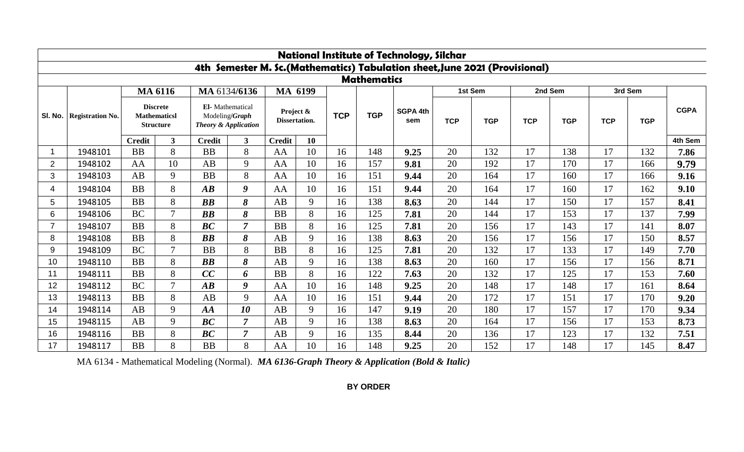|                    | <b>National Institute of Technology, Silchar</b>                           |                                                            |                |                                                                      |                |                            |    |            |            |                        |            |            |            |            |            |            |             |
|--------------------|----------------------------------------------------------------------------|------------------------------------------------------------|----------------|----------------------------------------------------------------------|----------------|----------------------------|----|------------|------------|------------------------|------------|------------|------------|------------|------------|------------|-------------|
|                    | 4th Semester M. Sc.(Mathematics) Tabulation sheet, June 2021 (Provisional) |                                                            |                |                                                                      |                |                            |    |            |            |                        |            |            |            |            |            |            |             |
| <b>Mathematics</b> |                                                                            |                                                            |                |                                                                      |                |                            |    |            |            |                        |            |            |            |            |            |            |             |
|                    |                                                                            |                                                            | <b>MA 6116</b> |                                                                      | MA 6134/6136   | MA 6199                    |    |            |            |                        | 1st Sem    |            | 2nd Sem    |            | 3rd Sem    |            |             |
| SI. No.            | <b>Registration No.</b>                                                    | <b>Discrete</b><br><b>Mathematicsl</b><br><b>Structure</b> |                | El-Mathematical<br>Modeling/Graph<br><b>Theory &amp; Application</b> |                | Project &<br>Dissertation. |    | <b>TCP</b> | <b>TGP</b> | <b>SGPA 4th</b><br>sem | <b>TCP</b> | <b>TGP</b> | <b>TCP</b> | <b>TGP</b> | <b>TCP</b> | <b>TGP</b> | <b>CGPA</b> |
|                    |                                                                            | <b>Credit</b>                                              | $\mathbf{3}$   | <b>Credit</b>                                                        | 3 <sup>1</sup> | <b>Credit</b>              | 10 |            |            |                        |            |            |            |            |            |            | 4th Sem     |
|                    | 1948101                                                                    | <b>BB</b>                                                  | 8              | <b>BB</b>                                                            | 8              | AA                         | 10 | 16         | 148        | 9.25                   | 20         | 132        | 17         | 138        | 17         | 132        | 7.86        |
| $\overline{2}$     | 1948102                                                                    | AA                                                         | 10             | AB                                                                   | 9              | AA                         | 10 | 16         | 157        | 9.81                   | 20         | 192        | 17         | 170        | 17         | 166        | 9.79        |
| 3                  | 1948103                                                                    | AB                                                         | 9              | <b>BB</b>                                                            | 8              | AA                         | 10 | 16         | 151        | 9.44                   | 20         | 164        | 17         | 160        | 17         | 166        | 9.16        |
| 4                  | 1948104                                                                    | <b>BB</b>                                                  | 8              | $\boldsymbol{A}\boldsymbol{B}$                                       | 9              | AA                         | 10 | 16         | 151        | 9.44                   | 20         | 164        | 17         | 160        | 17         | 162        | 9.10        |
| 5                  | 1948105                                                                    | <b>BB</b>                                                  | 8              | BB                                                                   | 8              | AB                         | 9  | 16         | 138        | 8.63                   | 20         | 144        | 17         | 150        | 17         | 157        | 8.41        |
| 6                  | 1948106                                                                    | <b>BC</b>                                                  | $\tau$         | BB                                                                   | 8              | <b>BB</b>                  | 8  | 16         | 125        | 7.81                   | 20         | 144        | 17         | 153        | 17         | 137        | 7.99        |
| $\overline{7}$     | 1948107                                                                    | <b>BB</b>                                                  | 8              | BC                                                                   | $\overline{7}$ | <b>BB</b>                  | 8  | 16         | 125        | 7.81                   | 20         | 156        | 17         | 143        | 17         | 141        | 8.07        |
| 8                  | 1948108                                                                    | <b>BB</b>                                                  | 8              | BB                                                                   | 8              | AB                         | 9  | 16         | 138        | 8.63                   | 20         | 156        | 17         | 156        | 17         | 150        | 8.57        |
| 9                  | 1948109                                                                    | <b>BC</b>                                                  | $\tau$         | <b>BB</b>                                                            | 8              | <b>BB</b>                  | 8  | 16         | 125        | 7.81                   | 20         | 132        | 17         | 133        | 17         | 149        | 7.70        |
| 10                 | 1948110                                                                    | <b>BB</b>                                                  | 8              | $\boldsymbol{BB}$                                                    | 8              | AB                         | 9  | 16         | 138        | 8.63                   | 20         | 160        | 17         | 156        | 17         | 156        | 8.71        |
| 11                 | 1948111                                                                    | <b>BB</b>                                                  | 8              | CC                                                                   | 6              | <b>BB</b>                  | 8  | 16         | 122        | 7.63                   | 20         | 132        | 17         | 125        | 17         | 153        | 7.60        |
| 12                 | 1948112                                                                    | <b>BC</b>                                                  | $\tau$         | $\overline{AB}$                                                      | 9              | AA                         | 10 | 16         | 148        | 9.25                   | 20         | 148        | 17         | 148        | 17         | 161        | 8.64        |
| 13                 | 1948113                                                                    | <b>BB</b>                                                  | 8              | AB                                                                   | 9              | AA                         | 10 | 16         | 151        | 9.44                   | 20         | 172        | 17         | 151        | 17         | 170        | 9.20        |
| 14                 | 1948114                                                                    | AB                                                         | 9              | AA                                                                   | 10             | AB                         | 9  | 16         | 147        | 9.19                   | 20         | 180        | 17         | 157        | 17         | 170        | 9.34        |
| 15                 | 1948115                                                                    | AB                                                         | 9              | BC                                                                   | $\overline{7}$ | AB                         | 9  | 16         | 138        | 8.63                   | 20         | 164        | 17         | 156        | 17         | 153        | 8.73        |
| 16                 | 1948116                                                                    | <b>BB</b>                                                  | 8              | BC                                                                   | $\overline{7}$ | AB                         | 9  | 16         | 135        | 8.44                   | 20         | 136        | 17         | 123        | 17         | 132        | 7.51        |
| 17                 | 1948117                                                                    | <b>BB</b>                                                  | 8              | <b>BB</b>                                                            | 8              | AA                         | 10 | 16         | 148        | 9.25                   | 20         | 152        | 17         | 148        | 17         | 145        | 8.47        |

MA 6134 - Mathematical Modeling (Normal). *MA 6136-Graph Theory & Application (Bold & Italic)*